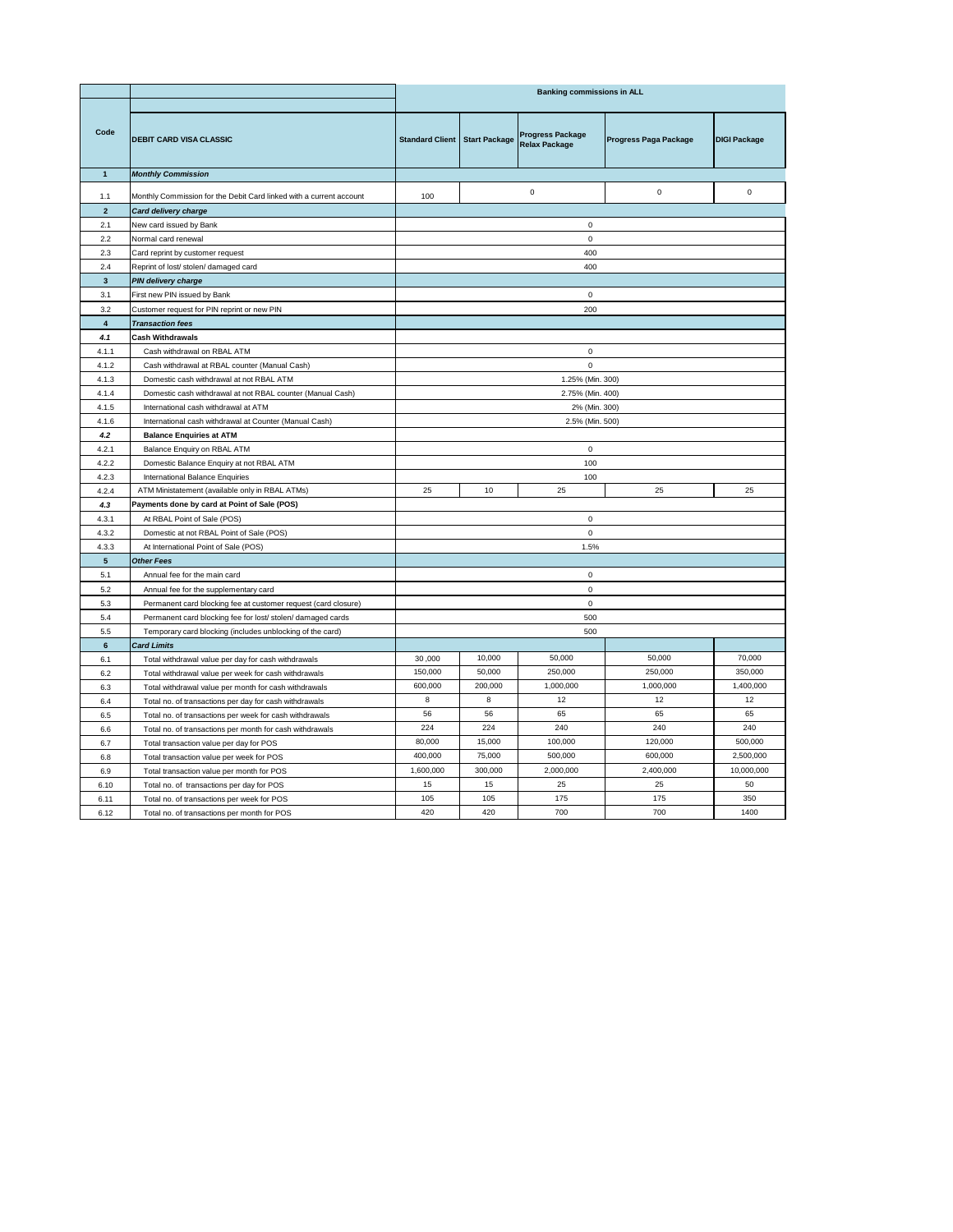|                 |                                                                     | <b>Banking commissions in ALL</b>      |         |                                                 |                       |                     |
|-----------------|---------------------------------------------------------------------|----------------------------------------|---------|-------------------------------------------------|-----------------------|---------------------|
| Code            | <b>DEBIT CARD VISA CLASSIC</b>                                      | <b>Standard Client   Start Package</b> |         | <b>Progress Package</b><br><b>Relax Package</b> | Progress Paga Package | <b>DIGI Package</b> |
| $\overline{1}$  | <b>Monthly Commission</b>                                           |                                        |         |                                                 |                       |                     |
| 1.1             | Monthly Commission for the Debit Card linked with a current account | 100                                    |         | $\mathbf 0$                                     | $\mathsf 0$           | $\mathsf 0$         |
| $\overline{2}$  | Card delivery charge                                                |                                        |         |                                                 |                       |                     |
| 2.1             | New card issued by Bank                                             |                                        |         | $\mathsf 0$                                     |                       |                     |
| 2.2             | Normal card renewal                                                 |                                        |         | $\mathsf 0$                                     |                       |                     |
| 2.3             | Card reprint by customer request                                    |                                        |         | 400                                             |                       |                     |
| 2.4             | Reprint of lost/ stolen/ damaged card                               |                                        |         | 400                                             |                       |                     |
| $\mathbf{3}$    | PIN delivery charge                                                 |                                        |         |                                                 |                       |                     |
| 3.1             | First new PIN issued by Bank                                        |                                        |         | $\mathsf 0$                                     |                       |                     |
| 3.2             | Customer request for PIN reprint or new PIN                         |                                        |         | 200                                             |                       |                     |
| $\overline{4}$  | <b>Transaction fees</b>                                             |                                        |         |                                                 |                       |                     |
| 4.1             | <b>Cash Withdrawals</b>                                             |                                        |         |                                                 |                       |                     |
| 4.1.1           | Cash withdrawal on RBAL ATM                                         |                                        |         | $\Omega$                                        |                       |                     |
| 4.1.2           | Cash withdrawal at RBAL counter (Manual Cash)                       |                                        |         | $\mathsf 0$                                     |                       |                     |
| 4.1.3           | Domestic cash withdrawal at not RBAL ATM                            |                                        |         | 1.25% (Min. 300)                                |                       |                     |
| 4.1.4           | Domestic cash withdrawal at not RBAL counter (Manual Cash)          |                                        |         | 2.75% (Min. 400)                                |                       |                     |
| 4.1.5           | International cash withdrawal at ATM                                |                                        |         | 2% (Min. 300)                                   |                       |                     |
| 4.1.6           | International cash withdrawal at Counter (Manual Cash)              | 2.5% (Min. 500)                        |         |                                                 |                       |                     |
| 4.2             | <b>Balance Enquiries at ATM</b>                                     |                                        |         |                                                 |                       |                     |
| 4.2.1           | Balance Enquiry on RBAL ATM                                         | $\mathbf 0$                            |         |                                                 |                       |                     |
| 4.2.2           | Domestic Balance Enquiry at not RBAL ATM                            | 100                                    |         |                                                 |                       |                     |
| 4.2.3           | International Balance Enquiries                                     | 100                                    |         |                                                 |                       |                     |
| 4.2.4           | ATM Ministatement (available only in RBAL ATMs)                     | 25                                     | 10      | 25                                              | 25                    | 25                  |
| 4.3             | Payments done by card at Point of Sale (POS)                        |                                        |         |                                                 |                       |                     |
| 4.3.1           | At RBAL Point of Sale (POS)                                         |                                        |         | $\mathsf 0$                                     |                       |                     |
| 4.3.2           | Domestic at not RBAL Point of Sale (POS)                            |                                        |         | $\mathbf 0$                                     |                       |                     |
| 4.3.3           | At International Point of Sale (POS)                                | 1.5%                                   |         |                                                 |                       |                     |
| $5\phantom{.0}$ | Other Fees                                                          |                                        |         |                                                 |                       |                     |
| 5.1             | Annual fee for the main card                                        |                                        |         | $\mathsf 0$                                     |                       |                     |
| 5.2             | Annual fee for the supplementary card                               |                                        |         | $\mathbf 0$                                     |                       |                     |
| 5.3             | Permanent card blocking fee at customer request (card closure)      | $\mathsf 0$                            |         |                                                 |                       |                     |
| 5.4             | Permanent card blocking fee for lost/ stolen/ damaged cards         | 500                                    |         |                                                 |                       |                     |
| 5.5             | Temporary card blocking (includes unblocking of the card)           | 500                                    |         |                                                 |                       |                     |
| $\bf 6$         | <b>Card Limits</b>                                                  |                                        |         |                                                 |                       |                     |
| 6.1             | Total withdrawal value per day for cash withdrawals                 | 30,000                                 | 10,000  | 50,000                                          | 50,000                | 70,000              |
| 6.2             | Total withdrawal value per week for cash withdrawals                | 150,000                                | 50,000  | 250,000                                         | 250,000               | 350,000             |
| 6.3             | Total withdrawal value per month for cash withdrawals               | 600,000                                | 200,000 | 1,000,000                                       | 1,000,000             | 1,400,000           |
| 6.4             | Total no. of transactions per day for cash withdrawals              | 8                                      | 8       | 12                                              | 12                    | 12                  |
| 6.5             | Total no. of transactions per week for cash withdrawals             | 56                                     | 56      | 65                                              | 65                    | 65                  |
| 6.6             | Total no. of transactions per month for cash withdrawals            | 224                                    | 224     | 240                                             | 240                   | 240                 |
| 6.7             | Total transaction value per day for POS                             | 80,000                                 | 15,000  | 100,000                                         | 120,000               | 500,000             |
| 6.8             | Total transaction value per week for POS                            | 400,000                                | 75,000  | 500,000                                         | 600,000               | 2,500,000           |
| 6.9             | Total transaction value per month for POS                           | 1,600,000                              | 300,000 | 2,000,000                                       | 2,400,000             | 10,000,000          |
| 6.10            | Total no. of transactions per day for POS                           | 15                                     | 15      | 25                                              | 25                    | 50                  |
| 6.11            | Total no. of transactions per week for POS                          | 105                                    | 105     | 175                                             | 175                   | 350                 |
| 6.12            | Total no. of transactions per month for POS                         | 420                                    | 420     | 700                                             | 700                   | 1400                |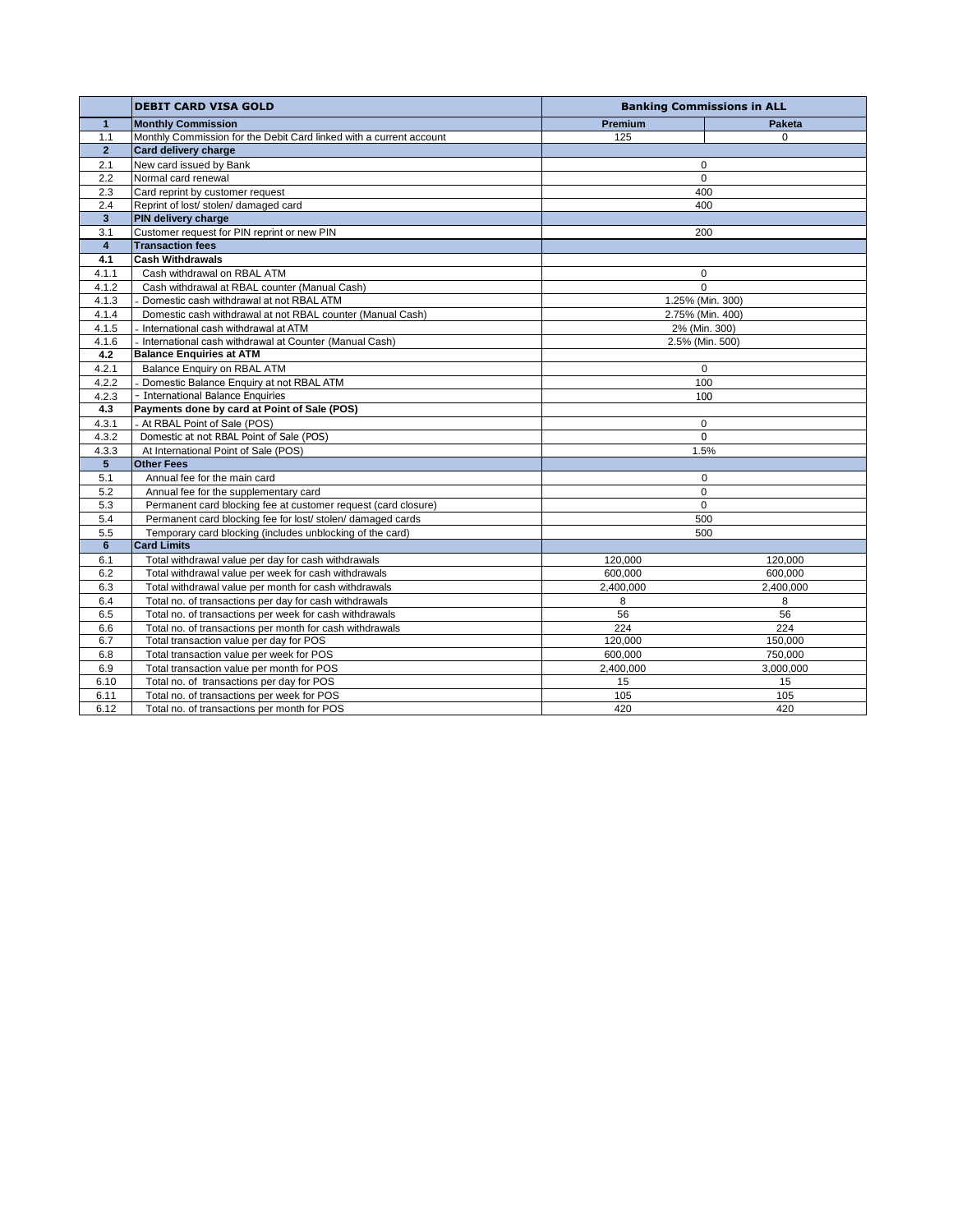|                         | <b>DEBIT CARD VISA GOLD</b>                                         |                  | <b>Banking Commissions in ALL</b> |  |
|-------------------------|---------------------------------------------------------------------|------------------|-----------------------------------|--|
| $\mathbf{1}$            | <b>Monthly Commission</b>                                           | <b>Premium</b>   | <b>Paketa</b>                     |  |
| 1.1                     | Monthly Commission for the Debit Card linked with a current account | 125              | 0                                 |  |
| $\overline{2}$          | Card delivery charge                                                |                  |                                   |  |
| 2.1                     | New card issued by Bank                                             | $\Omega$         |                                   |  |
| 2.2                     | Normal card renewal                                                 | $\Omega$         |                                   |  |
| 2.3                     | Card reprint by customer request                                    | 400              |                                   |  |
| 2.4                     | Reprint of lost/ stolen/ damaged card                               | 400              |                                   |  |
| $\overline{\mathbf{3}}$ | PIN delivery charge                                                 |                  |                                   |  |
| 3.1                     | Customer request for PIN reprint or new PIN                         | 200              |                                   |  |
| $\overline{4}$          | <b>Transaction fees</b>                                             |                  |                                   |  |
| 4.1                     | <b>Cash Withdrawals</b>                                             |                  |                                   |  |
| 4.1.1                   | Cash withdrawal on RBAL ATM                                         | 0                |                                   |  |
| 4.1.2                   | Cash withdrawal at RBAL counter (Manual Cash)                       | 0                |                                   |  |
| 4.1.3                   | - Domestic cash withdrawal at not RBAL ATM                          | 1.25% (Min. 300) |                                   |  |
| 4.1.4                   | Domestic cash withdrawal at not RBAL counter (Manual Cash)          | 2.75% (Min. 400) |                                   |  |
| 4.1.5                   | - International cash withdrawal at ATM                              |                  | 2% (Min. 300)                     |  |
| 4.1.6                   | - International cash withdrawal at Counter (Manual Cash)            |                  | 2.5% (Min. 500)                   |  |
| 4.2                     | <b>Balance Enquiries at ATM</b>                                     |                  |                                   |  |
| 4.2.1                   | Balance Enquiry on RBAL ATM                                         | $\mathbf 0$      |                                   |  |
| 4.2.2                   | - Domestic Balance Enquiry at not RBAL ATM                          |                  | 100                               |  |
| 4.2.3                   | - International Balance Enquiries                                   |                  | 100                               |  |
| 4.3                     | Payments done by card at Point of Sale (POS)                        |                  |                                   |  |
| 4.3.1                   | - At RBAL Point of Sale (POS)                                       |                  | 0                                 |  |
| 4.3.2                   | Domestic at not RBAL Point of Sale (POS)                            |                  | $\Omega$                          |  |
| 4.3.3                   | At International Point of Sale (POS)                                |                  | 1.5%                              |  |
| 5 <sub>5</sub>          | <b>Other Fees</b>                                                   |                  |                                   |  |
| 5.1                     | Annual fee for the main card                                        | 0                |                                   |  |
| 5.2                     | Annual fee for the supplementary card                               | 0                |                                   |  |
| 5.3                     | Permanent card blocking fee at customer request (card closure)      | 0                |                                   |  |
| 5.4                     | Permanent card blocking fee for lost/ stolen/ damaged cards         | 500              |                                   |  |
| 5.5                     | Temporary card blocking (includes unblocking of the card)           |                  | 500                               |  |
| 6                       | <b>Card Limits</b>                                                  |                  |                                   |  |
| 6.1                     | Total withdrawal value per day for cash withdrawals                 | 120,000          | 120,000                           |  |
| 6.2                     | Total withdrawal value per week for cash withdrawals                | 600.000          | 600.000                           |  |
| 6.3                     | Total withdrawal value per month for cash withdrawals               | 2,400,000        | 2,400,000                         |  |
| 6.4                     | Total no. of transactions per day for cash withdrawals              | 8                | 8                                 |  |
| 6.5                     | Total no. of transactions per week for cash withdrawals             | 56               | 56                                |  |
| 6.6                     | Total no. of transactions per month for cash withdrawals            | 224              | 224                               |  |
| 6.7                     | Total transaction value per day for POS                             | 120.000          | 150,000                           |  |
| 6.8                     | Total transaction value per week for POS                            | 600.000          | 750.000                           |  |
| 6.9                     | Total transaction value per month for POS                           | 2,400,000        | 3,000,000                         |  |
| 6.10                    | Total no. of transactions per day for POS                           | 15               | 15                                |  |
| 6.11                    | Total no. of transactions per week for POS                          | 105              | 105                               |  |
| 6.12                    | Total no. of transactions per month for POS                         | 420              | 420                               |  |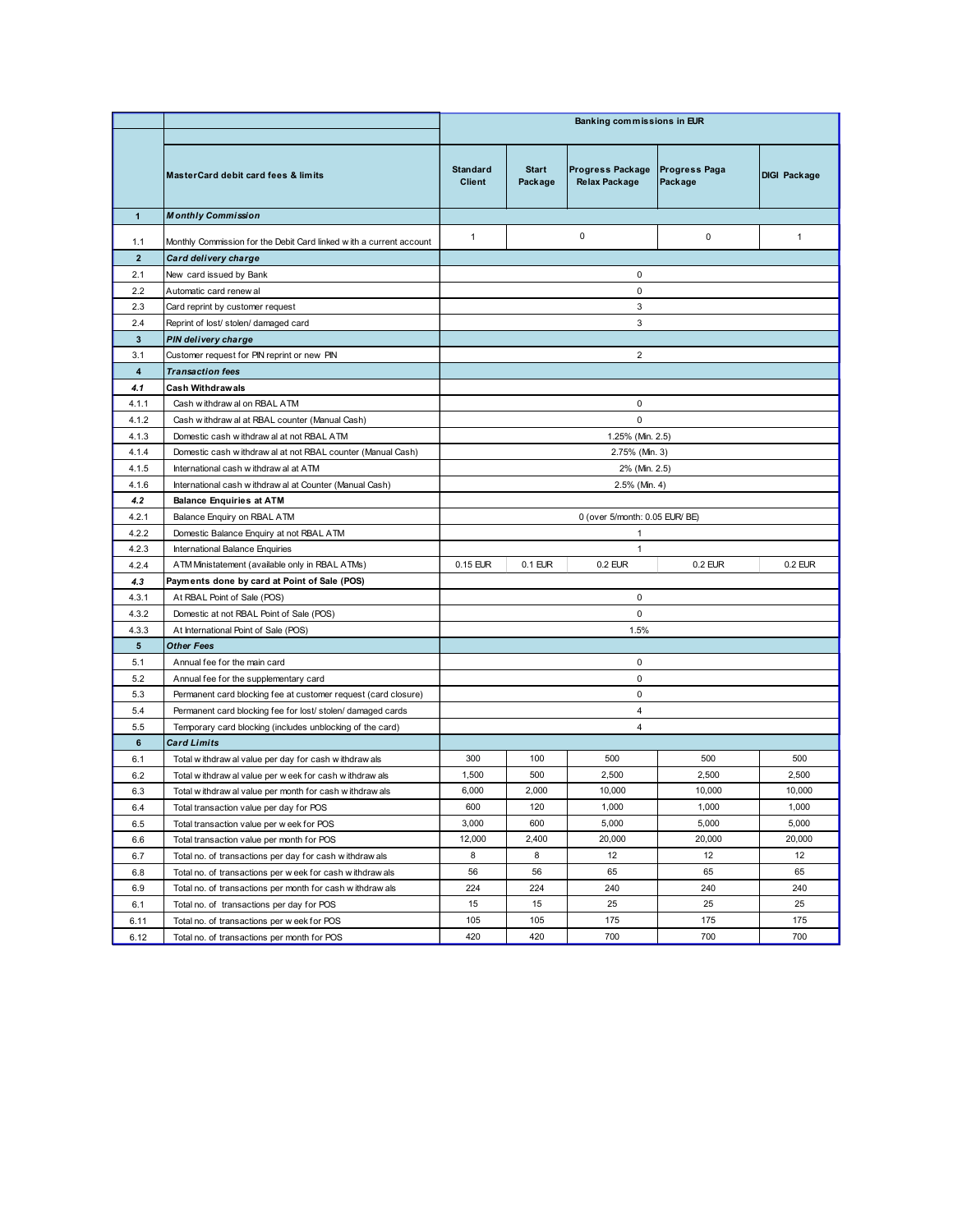| Banking commissions in EUR<br><b>Start</b><br>Progress Package<br><b>Progress Paga</b><br>Standard<br>MasterCard debit card fees & limits<br>Relax Package<br>Client<br>Package<br>Package<br><b>Monthly Commission</b><br>$\overline{1}$<br>$\mathbf 0$<br>$\mathbf 0$<br>$\mathbf{1}$<br>Monthly Commission for the Debit Card linked with a current account<br>1.1<br>$\overline{2}$<br>Card delivery charge<br>2.1<br>$\mathbf 0$<br>New card issued by Bank<br>$\mathsf 0$<br>2.2<br>Automatic card renew al<br>$\mathbf{3}$<br>2.3<br>Card reprint by customer request<br>$\mathbf{3}$<br>2.4<br>Reprint of lost/ stolen/ damaged card<br>$\overline{\mathbf{3}}$<br><b>PIN delivery charge</b><br>$\overline{2}$<br>3.1<br>Customer request for PIN reprint or new PIN<br>$\overline{\mathbf{4}}$<br><b>Transaction fees</b><br>4.1<br><b>Cash Withdrawals</b><br>Cash withdraw al on RBAL ATM<br>$\mathbf 0$<br>4.1.1<br>$\mathsf 0$<br>4.1.2<br>Cash w ithdraw al at RBAL counter (Manual Cash)<br>1.25% (Min. 2.5)<br>4.1.3<br>Domestic cash w ithdraw al at not RBAL ATM<br>4.1.4<br>2.75% (Min. 3)<br>Domestic cash w ithdraw al at not RBAL counter (Manual Cash)<br>4.1.5<br>International cash w ithdraw al at ATM<br>2% (Min. 2.5)<br>4.1.6<br>2.5% (Min. 4)<br>International cash w ithdraw al at Counter (Manual Cash)<br>4.2<br><b>Balance Enquiries at ATM</b><br>Balance Enquiry on RBAL ATM<br>4.2.1<br>0 (over 5/month: 0.05 EUR/ BE)<br>4.2.2<br>Domestic Balance Enquiry at not RBAL ATM<br>$\mathbf{1}$<br>4.2.3<br>International Balance Enquiries<br>$\mathbf{1}$<br>ATM Ministatement (available only in RBAL ATMs)<br>$0.15$ EUR<br>$0.1$ EUR<br>0.2 EUR<br>0.2 EUR<br>4.2.4<br>Payments done by card at Point of Sale (POS)<br>4.3<br>4.3.1<br>At RBAL Point of Sale (POS)<br>$\mathbf 0$<br>4.3.2<br>Domestic at not RBAL Point of Sale (POS)<br>$\mathbf 0$<br>4.3.3<br>At International Point of Sale (POS)<br>1.5%<br>$5\phantom{.0}$<br><b>Other Fees</b><br>Annual fee for the main card<br>$\mathbf 0$<br>5.1<br>$5.2\,$<br>$\mathsf 0$<br>Annual fee for the supplementary card<br>$\mathbf 0$<br>5.3<br>Permanent card blocking fee at customer request (card closure)<br>5.4<br>$\overline{4}$<br>Permanent card blocking fee for lost/ stolen/ damaged cards<br>5.5<br>$\overline{4}$<br>Temporary card blocking (includes unblocking of the card)<br><b>Card Limits</b><br>6<br>300<br>100<br>500<br>500<br>6.1<br>Total withdraw al value per day for cash withdraw als<br>500<br>1,500<br>2,500<br>2,500<br>6.2<br>Total withdraw al value per week for cash withdraw als<br>6,000<br>2,000<br>10,000<br>10,000<br>6.3<br>Total withdraw al value per month for cash withdraw als<br>120<br>600<br>1,000<br>1,000<br>6.4<br>Total transaction value per day for POS<br>600<br>3,000<br>5,000<br>5,000<br>6.5<br>Total transaction value per week for POS | <b>DIGI Package</b><br>$\mathbf{1}$ |  |  |
|-------------------------------------------------------------------------------------------------------------------------------------------------------------------------------------------------------------------------------------------------------------------------------------------------------------------------------------------------------------------------------------------------------------------------------------------------------------------------------------------------------------------------------------------------------------------------------------------------------------------------------------------------------------------------------------------------------------------------------------------------------------------------------------------------------------------------------------------------------------------------------------------------------------------------------------------------------------------------------------------------------------------------------------------------------------------------------------------------------------------------------------------------------------------------------------------------------------------------------------------------------------------------------------------------------------------------------------------------------------------------------------------------------------------------------------------------------------------------------------------------------------------------------------------------------------------------------------------------------------------------------------------------------------------------------------------------------------------------------------------------------------------------------------------------------------------------------------------------------------------------------------------------------------------------------------------------------------------------------------------------------------------------------------------------------------------------------------------------------------------------------------------------------------------------------------------------------------------------------------------------------------------------------------------------------------------------------------------------------------------------------------------------------------------------------------------------------------------------------------------------------------------------------------------------------------------------------------------------------------------------------------------------------------------------------------------------------------------------------------------------------------------------------------------------------------------------------------------------------------------------------------------------------|-------------------------------------|--|--|
|                                                                                                                                                                                                                                                                                                                                                                                                                                                                                                                                                                                                                                                                                                                                                                                                                                                                                                                                                                                                                                                                                                                                                                                                                                                                                                                                                                                                                                                                                                                                                                                                                                                                                                                                                                                                                                                                                                                                                                                                                                                                                                                                                                                                                                                                                                                                                                                                                                                                                                                                                                                                                                                                                                                                                                                                                                                                                                       |                                     |  |  |
|                                                                                                                                                                                                                                                                                                                                                                                                                                                                                                                                                                                                                                                                                                                                                                                                                                                                                                                                                                                                                                                                                                                                                                                                                                                                                                                                                                                                                                                                                                                                                                                                                                                                                                                                                                                                                                                                                                                                                                                                                                                                                                                                                                                                                                                                                                                                                                                                                                                                                                                                                                                                                                                                                                                                                                                                                                                                                                       |                                     |  |  |
|                                                                                                                                                                                                                                                                                                                                                                                                                                                                                                                                                                                                                                                                                                                                                                                                                                                                                                                                                                                                                                                                                                                                                                                                                                                                                                                                                                                                                                                                                                                                                                                                                                                                                                                                                                                                                                                                                                                                                                                                                                                                                                                                                                                                                                                                                                                                                                                                                                                                                                                                                                                                                                                                                                                                                                                                                                                                                                       |                                     |  |  |
|                                                                                                                                                                                                                                                                                                                                                                                                                                                                                                                                                                                                                                                                                                                                                                                                                                                                                                                                                                                                                                                                                                                                                                                                                                                                                                                                                                                                                                                                                                                                                                                                                                                                                                                                                                                                                                                                                                                                                                                                                                                                                                                                                                                                                                                                                                                                                                                                                                                                                                                                                                                                                                                                                                                                                                                                                                                                                                       |                                     |  |  |
|                                                                                                                                                                                                                                                                                                                                                                                                                                                                                                                                                                                                                                                                                                                                                                                                                                                                                                                                                                                                                                                                                                                                                                                                                                                                                                                                                                                                                                                                                                                                                                                                                                                                                                                                                                                                                                                                                                                                                                                                                                                                                                                                                                                                                                                                                                                                                                                                                                                                                                                                                                                                                                                                                                                                                                                                                                                                                                       |                                     |  |  |
|                                                                                                                                                                                                                                                                                                                                                                                                                                                                                                                                                                                                                                                                                                                                                                                                                                                                                                                                                                                                                                                                                                                                                                                                                                                                                                                                                                                                                                                                                                                                                                                                                                                                                                                                                                                                                                                                                                                                                                                                                                                                                                                                                                                                                                                                                                                                                                                                                                                                                                                                                                                                                                                                                                                                                                                                                                                                                                       |                                     |  |  |
|                                                                                                                                                                                                                                                                                                                                                                                                                                                                                                                                                                                                                                                                                                                                                                                                                                                                                                                                                                                                                                                                                                                                                                                                                                                                                                                                                                                                                                                                                                                                                                                                                                                                                                                                                                                                                                                                                                                                                                                                                                                                                                                                                                                                                                                                                                                                                                                                                                                                                                                                                                                                                                                                                                                                                                                                                                                                                                       |                                     |  |  |
|                                                                                                                                                                                                                                                                                                                                                                                                                                                                                                                                                                                                                                                                                                                                                                                                                                                                                                                                                                                                                                                                                                                                                                                                                                                                                                                                                                                                                                                                                                                                                                                                                                                                                                                                                                                                                                                                                                                                                                                                                                                                                                                                                                                                                                                                                                                                                                                                                                                                                                                                                                                                                                                                                                                                                                                                                                                                                                       |                                     |  |  |
|                                                                                                                                                                                                                                                                                                                                                                                                                                                                                                                                                                                                                                                                                                                                                                                                                                                                                                                                                                                                                                                                                                                                                                                                                                                                                                                                                                                                                                                                                                                                                                                                                                                                                                                                                                                                                                                                                                                                                                                                                                                                                                                                                                                                                                                                                                                                                                                                                                                                                                                                                                                                                                                                                                                                                                                                                                                                                                       |                                     |  |  |
|                                                                                                                                                                                                                                                                                                                                                                                                                                                                                                                                                                                                                                                                                                                                                                                                                                                                                                                                                                                                                                                                                                                                                                                                                                                                                                                                                                                                                                                                                                                                                                                                                                                                                                                                                                                                                                                                                                                                                                                                                                                                                                                                                                                                                                                                                                                                                                                                                                                                                                                                                                                                                                                                                                                                                                                                                                                                                                       |                                     |  |  |
|                                                                                                                                                                                                                                                                                                                                                                                                                                                                                                                                                                                                                                                                                                                                                                                                                                                                                                                                                                                                                                                                                                                                                                                                                                                                                                                                                                                                                                                                                                                                                                                                                                                                                                                                                                                                                                                                                                                                                                                                                                                                                                                                                                                                                                                                                                                                                                                                                                                                                                                                                                                                                                                                                                                                                                                                                                                                                                       |                                     |  |  |
|                                                                                                                                                                                                                                                                                                                                                                                                                                                                                                                                                                                                                                                                                                                                                                                                                                                                                                                                                                                                                                                                                                                                                                                                                                                                                                                                                                                                                                                                                                                                                                                                                                                                                                                                                                                                                                                                                                                                                                                                                                                                                                                                                                                                                                                                                                                                                                                                                                                                                                                                                                                                                                                                                                                                                                                                                                                                                                       |                                     |  |  |
|                                                                                                                                                                                                                                                                                                                                                                                                                                                                                                                                                                                                                                                                                                                                                                                                                                                                                                                                                                                                                                                                                                                                                                                                                                                                                                                                                                                                                                                                                                                                                                                                                                                                                                                                                                                                                                                                                                                                                                                                                                                                                                                                                                                                                                                                                                                                                                                                                                                                                                                                                                                                                                                                                                                                                                                                                                                                                                       |                                     |  |  |
|                                                                                                                                                                                                                                                                                                                                                                                                                                                                                                                                                                                                                                                                                                                                                                                                                                                                                                                                                                                                                                                                                                                                                                                                                                                                                                                                                                                                                                                                                                                                                                                                                                                                                                                                                                                                                                                                                                                                                                                                                                                                                                                                                                                                                                                                                                                                                                                                                                                                                                                                                                                                                                                                                                                                                                                                                                                                                                       |                                     |  |  |
|                                                                                                                                                                                                                                                                                                                                                                                                                                                                                                                                                                                                                                                                                                                                                                                                                                                                                                                                                                                                                                                                                                                                                                                                                                                                                                                                                                                                                                                                                                                                                                                                                                                                                                                                                                                                                                                                                                                                                                                                                                                                                                                                                                                                                                                                                                                                                                                                                                                                                                                                                                                                                                                                                                                                                                                                                                                                                                       |                                     |  |  |
|                                                                                                                                                                                                                                                                                                                                                                                                                                                                                                                                                                                                                                                                                                                                                                                                                                                                                                                                                                                                                                                                                                                                                                                                                                                                                                                                                                                                                                                                                                                                                                                                                                                                                                                                                                                                                                                                                                                                                                                                                                                                                                                                                                                                                                                                                                                                                                                                                                                                                                                                                                                                                                                                                                                                                                                                                                                                                                       |                                     |  |  |
|                                                                                                                                                                                                                                                                                                                                                                                                                                                                                                                                                                                                                                                                                                                                                                                                                                                                                                                                                                                                                                                                                                                                                                                                                                                                                                                                                                                                                                                                                                                                                                                                                                                                                                                                                                                                                                                                                                                                                                                                                                                                                                                                                                                                                                                                                                                                                                                                                                                                                                                                                                                                                                                                                                                                                                                                                                                                                                       |                                     |  |  |
|                                                                                                                                                                                                                                                                                                                                                                                                                                                                                                                                                                                                                                                                                                                                                                                                                                                                                                                                                                                                                                                                                                                                                                                                                                                                                                                                                                                                                                                                                                                                                                                                                                                                                                                                                                                                                                                                                                                                                                                                                                                                                                                                                                                                                                                                                                                                                                                                                                                                                                                                                                                                                                                                                                                                                                                                                                                                                                       |                                     |  |  |
|                                                                                                                                                                                                                                                                                                                                                                                                                                                                                                                                                                                                                                                                                                                                                                                                                                                                                                                                                                                                                                                                                                                                                                                                                                                                                                                                                                                                                                                                                                                                                                                                                                                                                                                                                                                                                                                                                                                                                                                                                                                                                                                                                                                                                                                                                                                                                                                                                                                                                                                                                                                                                                                                                                                                                                                                                                                                                                       |                                     |  |  |
|                                                                                                                                                                                                                                                                                                                                                                                                                                                                                                                                                                                                                                                                                                                                                                                                                                                                                                                                                                                                                                                                                                                                                                                                                                                                                                                                                                                                                                                                                                                                                                                                                                                                                                                                                                                                                                                                                                                                                                                                                                                                                                                                                                                                                                                                                                                                                                                                                                                                                                                                                                                                                                                                                                                                                                                                                                                                                                       |                                     |  |  |
|                                                                                                                                                                                                                                                                                                                                                                                                                                                                                                                                                                                                                                                                                                                                                                                                                                                                                                                                                                                                                                                                                                                                                                                                                                                                                                                                                                                                                                                                                                                                                                                                                                                                                                                                                                                                                                                                                                                                                                                                                                                                                                                                                                                                                                                                                                                                                                                                                                                                                                                                                                                                                                                                                                                                                                                                                                                                                                       |                                     |  |  |
|                                                                                                                                                                                                                                                                                                                                                                                                                                                                                                                                                                                                                                                                                                                                                                                                                                                                                                                                                                                                                                                                                                                                                                                                                                                                                                                                                                                                                                                                                                                                                                                                                                                                                                                                                                                                                                                                                                                                                                                                                                                                                                                                                                                                                                                                                                                                                                                                                                                                                                                                                                                                                                                                                                                                                                                                                                                                                                       |                                     |  |  |
|                                                                                                                                                                                                                                                                                                                                                                                                                                                                                                                                                                                                                                                                                                                                                                                                                                                                                                                                                                                                                                                                                                                                                                                                                                                                                                                                                                                                                                                                                                                                                                                                                                                                                                                                                                                                                                                                                                                                                                                                                                                                                                                                                                                                                                                                                                                                                                                                                                                                                                                                                                                                                                                                                                                                                                                                                                                                                                       |                                     |  |  |
|                                                                                                                                                                                                                                                                                                                                                                                                                                                                                                                                                                                                                                                                                                                                                                                                                                                                                                                                                                                                                                                                                                                                                                                                                                                                                                                                                                                                                                                                                                                                                                                                                                                                                                                                                                                                                                                                                                                                                                                                                                                                                                                                                                                                                                                                                                                                                                                                                                                                                                                                                                                                                                                                                                                                                                                                                                                                                                       |                                     |  |  |
|                                                                                                                                                                                                                                                                                                                                                                                                                                                                                                                                                                                                                                                                                                                                                                                                                                                                                                                                                                                                                                                                                                                                                                                                                                                                                                                                                                                                                                                                                                                                                                                                                                                                                                                                                                                                                                                                                                                                                                                                                                                                                                                                                                                                                                                                                                                                                                                                                                                                                                                                                                                                                                                                                                                                                                                                                                                                                                       |                                     |  |  |
|                                                                                                                                                                                                                                                                                                                                                                                                                                                                                                                                                                                                                                                                                                                                                                                                                                                                                                                                                                                                                                                                                                                                                                                                                                                                                                                                                                                                                                                                                                                                                                                                                                                                                                                                                                                                                                                                                                                                                                                                                                                                                                                                                                                                                                                                                                                                                                                                                                                                                                                                                                                                                                                                                                                                                                                                                                                                                                       |                                     |  |  |
|                                                                                                                                                                                                                                                                                                                                                                                                                                                                                                                                                                                                                                                                                                                                                                                                                                                                                                                                                                                                                                                                                                                                                                                                                                                                                                                                                                                                                                                                                                                                                                                                                                                                                                                                                                                                                                                                                                                                                                                                                                                                                                                                                                                                                                                                                                                                                                                                                                                                                                                                                                                                                                                                                                                                                                                                                                                                                                       |                                     |  |  |
|                                                                                                                                                                                                                                                                                                                                                                                                                                                                                                                                                                                                                                                                                                                                                                                                                                                                                                                                                                                                                                                                                                                                                                                                                                                                                                                                                                                                                                                                                                                                                                                                                                                                                                                                                                                                                                                                                                                                                                                                                                                                                                                                                                                                                                                                                                                                                                                                                                                                                                                                                                                                                                                                                                                                                                                                                                                                                                       | $0.2$ EUR                           |  |  |
|                                                                                                                                                                                                                                                                                                                                                                                                                                                                                                                                                                                                                                                                                                                                                                                                                                                                                                                                                                                                                                                                                                                                                                                                                                                                                                                                                                                                                                                                                                                                                                                                                                                                                                                                                                                                                                                                                                                                                                                                                                                                                                                                                                                                                                                                                                                                                                                                                                                                                                                                                                                                                                                                                                                                                                                                                                                                                                       |                                     |  |  |
|                                                                                                                                                                                                                                                                                                                                                                                                                                                                                                                                                                                                                                                                                                                                                                                                                                                                                                                                                                                                                                                                                                                                                                                                                                                                                                                                                                                                                                                                                                                                                                                                                                                                                                                                                                                                                                                                                                                                                                                                                                                                                                                                                                                                                                                                                                                                                                                                                                                                                                                                                                                                                                                                                                                                                                                                                                                                                                       |                                     |  |  |
|                                                                                                                                                                                                                                                                                                                                                                                                                                                                                                                                                                                                                                                                                                                                                                                                                                                                                                                                                                                                                                                                                                                                                                                                                                                                                                                                                                                                                                                                                                                                                                                                                                                                                                                                                                                                                                                                                                                                                                                                                                                                                                                                                                                                                                                                                                                                                                                                                                                                                                                                                                                                                                                                                                                                                                                                                                                                                                       |                                     |  |  |
|                                                                                                                                                                                                                                                                                                                                                                                                                                                                                                                                                                                                                                                                                                                                                                                                                                                                                                                                                                                                                                                                                                                                                                                                                                                                                                                                                                                                                                                                                                                                                                                                                                                                                                                                                                                                                                                                                                                                                                                                                                                                                                                                                                                                                                                                                                                                                                                                                                                                                                                                                                                                                                                                                                                                                                                                                                                                                                       |                                     |  |  |
|                                                                                                                                                                                                                                                                                                                                                                                                                                                                                                                                                                                                                                                                                                                                                                                                                                                                                                                                                                                                                                                                                                                                                                                                                                                                                                                                                                                                                                                                                                                                                                                                                                                                                                                                                                                                                                                                                                                                                                                                                                                                                                                                                                                                                                                                                                                                                                                                                                                                                                                                                                                                                                                                                                                                                                                                                                                                                                       |                                     |  |  |
|                                                                                                                                                                                                                                                                                                                                                                                                                                                                                                                                                                                                                                                                                                                                                                                                                                                                                                                                                                                                                                                                                                                                                                                                                                                                                                                                                                                                                                                                                                                                                                                                                                                                                                                                                                                                                                                                                                                                                                                                                                                                                                                                                                                                                                                                                                                                                                                                                                                                                                                                                                                                                                                                                                                                                                                                                                                                                                       |                                     |  |  |
|                                                                                                                                                                                                                                                                                                                                                                                                                                                                                                                                                                                                                                                                                                                                                                                                                                                                                                                                                                                                                                                                                                                                                                                                                                                                                                                                                                                                                                                                                                                                                                                                                                                                                                                                                                                                                                                                                                                                                                                                                                                                                                                                                                                                                                                                                                                                                                                                                                                                                                                                                                                                                                                                                                                                                                                                                                                                                                       |                                     |  |  |
|                                                                                                                                                                                                                                                                                                                                                                                                                                                                                                                                                                                                                                                                                                                                                                                                                                                                                                                                                                                                                                                                                                                                                                                                                                                                                                                                                                                                                                                                                                                                                                                                                                                                                                                                                                                                                                                                                                                                                                                                                                                                                                                                                                                                                                                                                                                                                                                                                                                                                                                                                                                                                                                                                                                                                                                                                                                                                                       |                                     |  |  |
|                                                                                                                                                                                                                                                                                                                                                                                                                                                                                                                                                                                                                                                                                                                                                                                                                                                                                                                                                                                                                                                                                                                                                                                                                                                                                                                                                                                                                                                                                                                                                                                                                                                                                                                                                                                                                                                                                                                                                                                                                                                                                                                                                                                                                                                                                                                                                                                                                                                                                                                                                                                                                                                                                                                                                                                                                                                                                                       | 500                                 |  |  |
|                                                                                                                                                                                                                                                                                                                                                                                                                                                                                                                                                                                                                                                                                                                                                                                                                                                                                                                                                                                                                                                                                                                                                                                                                                                                                                                                                                                                                                                                                                                                                                                                                                                                                                                                                                                                                                                                                                                                                                                                                                                                                                                                                                                                                                                                                                                                                                                                                                                                                                                                                                                                                                                                                                                                                                                                                                                                                                       | 2,500                               |  |  |
|                                                                                                                                                                                                                                                                                                                                                                                                                                                                                                                                                                                                                                                                                                                                                                                                                                                                                                                                                                                                                                                                                                                                                                                                                                                                                                                                                                                                                                                                                                                                                                                                                                                                                                                                                                                                                                                                                                                                                                                                                                                                                                                                                                                                                                                                                                                                                                                                                                                                                                                                                                                                                                                                                                                                                                                                                                                                                                       |                                     |  |  |
|                                                                                                                                                                                                                                                                                                                                                                                                                                                                                                                                                                                                                                                                                                                                                                                                                                                                                                                                                                                                                                                                                                                                                                                                                                                                                                                                                                                                                                                                                                                                                                                                                                                                                                                                                                                                                                                                                                                                                                                                                                                                                                                                                                                                                                                                                                                                                                                                                                                                                                                                                                                                                                                                                                                                                                                                                                                                                                       | 10,000<br>1,000                     |  |  |
| 12,000<br>2,400<br>20,000<br>20,000<br>6.6<br>Total transaction value per month for POS<br>12<br>12<br>8<br>8<br>6.7<br>Total no. of transactions per day for cash withdraw als                                                                                                                                                                                                                                                                                                                                                                                                                                                                                                                                                                                                                                                                                                                                                                                                                                                                                                                                                                                                                                                                                                                                                                                                                                                                                                                                                                                                                                                                                                                                                                                                                                                                                                                                                                                                                                                                                                                                                                                                                                                                                                                                                                                                                                                                                                                                                                                                                                                                                                                                                                                                                                                                                                                       | 5,000                               |  |  |
| 56<br>56<br>65<br>65<br>6.8<br>Total no. of transactions per w eek for cash withdraw als                                                                                                                                                                                                                                                                                                                                                                                                                                                                                                                                                                                                                                                                                                                                                                                                                                                                                                                                                                                                                                                                                                                                                                                                                                                                                                                                                                                                                                                                                                                                                                                                                                                                                                                                                                                                                                                                                                                                                                                                                                                                                                                                                                                                                                                                                                                                                                                                                                                                                                                                                                                                                                                                                                                                                                                                              | 20,000                              |  |  |
| 224<br>224<br>240<br>240<br>6.9<br>Total no. of transactions per month for cash withdraw als                                                                                                                                                                                                                                                                                                                                                                                                                                                                                                                                                                                                                                                                                                                                                                                                                                                                                                                                                                                                                                                                                                                                                                                                                                                                                                                                                                                                                                                                                                                                                                                                                                                                                                                                                                                                                                                                                                                                                                                                                                                                                                                                                                                                                                                                                                                                                                                                                                                                                                                                                                                                                                                                                                                                                                                                          | 12<br>65                            |  |  |
| 15<br>15<br>25<br>25<br>6.1<br>Total no. of transactions per day for POS<br>105<br>175<br>105<br>175<br>6.11<br>Total no. of transactions per w eek for POS                                                                                                                                                                                                                                                                                                                                                                                                                                                                                                                                                                                                                                                                                                                                                                                                                                                                                                                                                                                                                                                                                                                                                                                                                                                                                                                                                                                                                                                                                                                                                                                                                                                                                                                                                                                                                                                                                                                                                                                                                                                                                                                                                                                                                                                                                                                                                                                                                                                                                                                                                                                                                                                                                                                                           | 240                                 |  |  |
| 700<br>420<br>420<br>700<br>6.12<br>Total no. of transactions per month for POS                                                                                                                                                                                                                                                                                                                                                                                                                                                                                                                                                                                                                                                                                                                                                                                                                                                                                                                                                                                                                                                                                                                                                                                                                                                                                                                                                                                                                                                                                                                                                                                                                                                                                                                                                                                                                                                                                                                                                                                                                                                                                                                                                                                                                                                                                                                                                                                                                                                                                                                                                                                                                                                                                                                                                                                                                       | 25                                  |  |  |
|                                                                                                                                                                                                                                                                                                                                                                                                                                                                                                                                                                                                                                                                                                                                                                                                                                                                                                                                                                                                                                                                                                                                                                                                                                                                                                                                                                                                                                                                                                                                                                                                                                                                                                                                                                                                                                                                                                                                                                                                                                                                                                                                                                                                                                                                                                                                                                                                                                                                                                                                                                                                                                                                                                                                                                                                                                                                                                       | 175<br>700                          |  |  |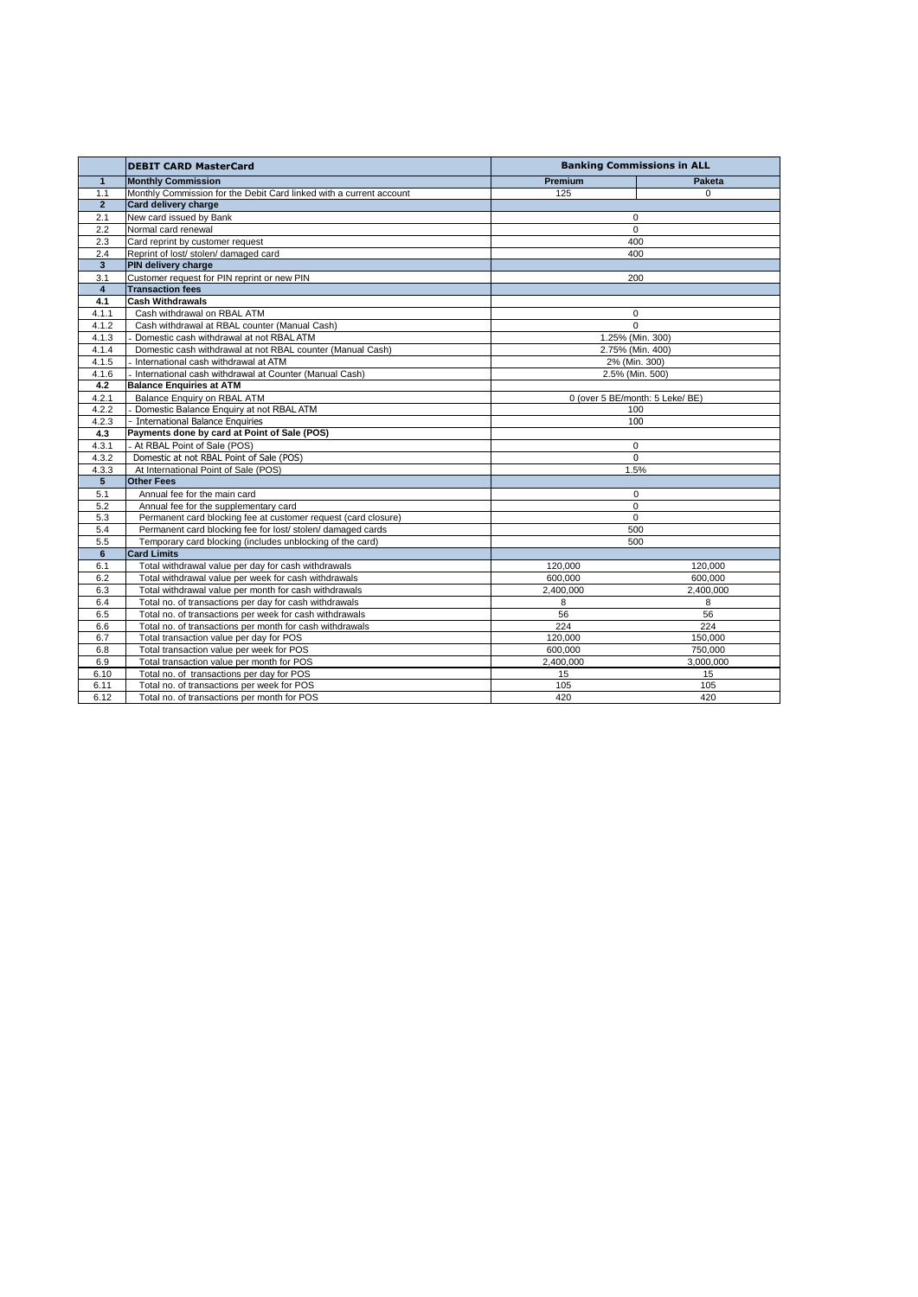|                 | <b>DEBIT CARD MasterCard</b>                                        |                                 | <b>Banking Commissions in ALL</b> |  |
|-----------------|---------------------------------------------------------------------|---------------------------------|-----------------------------------|--|
| $\mathbf{1}$    | <b>Monthly Commission</b>                                           | Premium                         | <b>Paketa</b>                     |  |
| 1.1             | Monthly Commission for the Debit Card linked with a current account | 125                             | $\Omega$                          |  |
| $\overline{2}$  | Card delivery charge                                                |                                 |                                   |  |
| 2.1             | New card issued by Bank                                             | 0                               |                                   |  |
| 2.2             | Normal card renewal                                                 | $\mathbf 0$                     |                                   |  |
| 2.3             | Card reprint by customer request                                    | 400                             |                                   |  |
| 2.4             | Reprint of lost/ stolen/ damaged card                               | 400                             |                                   |  |
| $\overline{3}$  | PIN delivery charge                                                 |                                 |                                   |  |
| 3.1             | Customer request for PIN reprint or new PIN                         |                                 | 200                               |  |
| $\overline{4}$  | <b>Transaction fees</b>                                             |                                 |                                   |  |
| 4.1             | <b>Cash Withdrawals</b>                                             |                                 |                                   |  |
| 4.1.1           | Cash withdrawal on RBAL ATM                                         | 0                               |                                   |  |
| 4.1.2           | Cash withdrawal at RBAL counter (Manual Cash)                       | $\Omega$                        |                                   |  |
| 4.1.3           | Domestic cash withdrawal at not RBAL ATM                            | 1.25% (Min. 300)                |                                   |  |
| 4.1.4           | Domestic cash withdrawal at not RBAL counter (Manual Cash)          | 2.75% (Min. 400)                |                                   |  |
| 4.1.5           | - International cash withdrawal at ATM                              | 2% (Min. 300)                   |                                   |  |
| 4.1.6           | International cash withdrawal at Counter (Manual Cash)              |                                 | 2.5% (Min. 500)                   |  |
| 4.2             | <b>Balance Enquiries at ATM</b>                                     |                                 |                                   |  |
| 4.2.1           | Balance Enquiry on RBAL ATM                                         | 0 (over 5 BE/month: 5 Leke/ BE) |                                   |  |
| 4.2.2           | Domestic Balance Enquiry at not RBAL ATM                            |                                 | 100                               |  |
| 4.2.3           | - International Balance Enquiries                                   |                                 | 100                               |  |
| 4.3             | Payments done by card at Point of Sale (POS)                        |                                 |                                   |  |
| 4.3.1           | - At RBAL Point of Sale (POS)                                       | $\mathbf 0$                     |                                   |  |
| 4.3.2           | Domestic at not RBAL Point of Sale (POS)                            |                                 | 0                                 |  |
| 4.3.3           | At International Point of Sale (POS)                                |                                 | 1.5%                              |  |
| $5\overline{5}$ | <b>Other Fees</b>                                                   |                                 |                                   |  |
| 5.1             | Annual fee for the main card                                        | $\mathbf 0$                     |                                   |  |
| 5.2             | Annual fee for the supplementary card                               |                                 | $\mathbf 0$                       |  |
| 5.3             | Permanent card blocking fee at customer request (card closure)      |                                 | $\mathbf 0$                       |  |
| 5.4             | Permanent card blocking fee for lost/ stolen/ damaged cards         |                                 | 500                               |  |
| 5.5             | Temporary card blocking (includes unblocking of the card)           |                                 | 500                               |  |
| 6               | <b>Card Limits</b>                                                  |                                 |                                   |  |
| 6.1             | Total withdrawal value per day for cash withdrawals                 | 120,000                         | 120,000                           |  |
| 6.2             | Total withdrawal value per week for cash withdrawals                | 600,000                         | 600,000                           |  |
| 6.3             | Total withdrawal value per month for cash withdrawals               | 2,400,000                       | 2,400,000                         |  |
| 6.4             | Total no. of transactions per day for cash withdrawals              | 8                               | 8                                 |  |
| 6.5             | Total no. of transactions per week for cash withdrawals             | 56                              | 56                                |  |
| 6.6             | Total no. of transactions per month for cash withdrawals            | 224                             | 224                               |  |
| 6.7             | Total transaction value per day for POS                             | 120.000                         | 150.000                           |  |
| 6.8             | Total transaction value per week for POS                            | 600,000                         | 750,000                           |  |
| 6.9             | Total transaction value per month for POS                           | 2,400,000                       | 3,000,000                         |  |
| 6.10            | Total no. of transactions per day for POS                           | 15                              | 15                                |  |
| 6.11            | Total no. of transactions per week for POS                          | 105                             | 105                               |  |
| 6.12            | Total no. of transactions per month for POS                         | 420                             | 420                               |  |